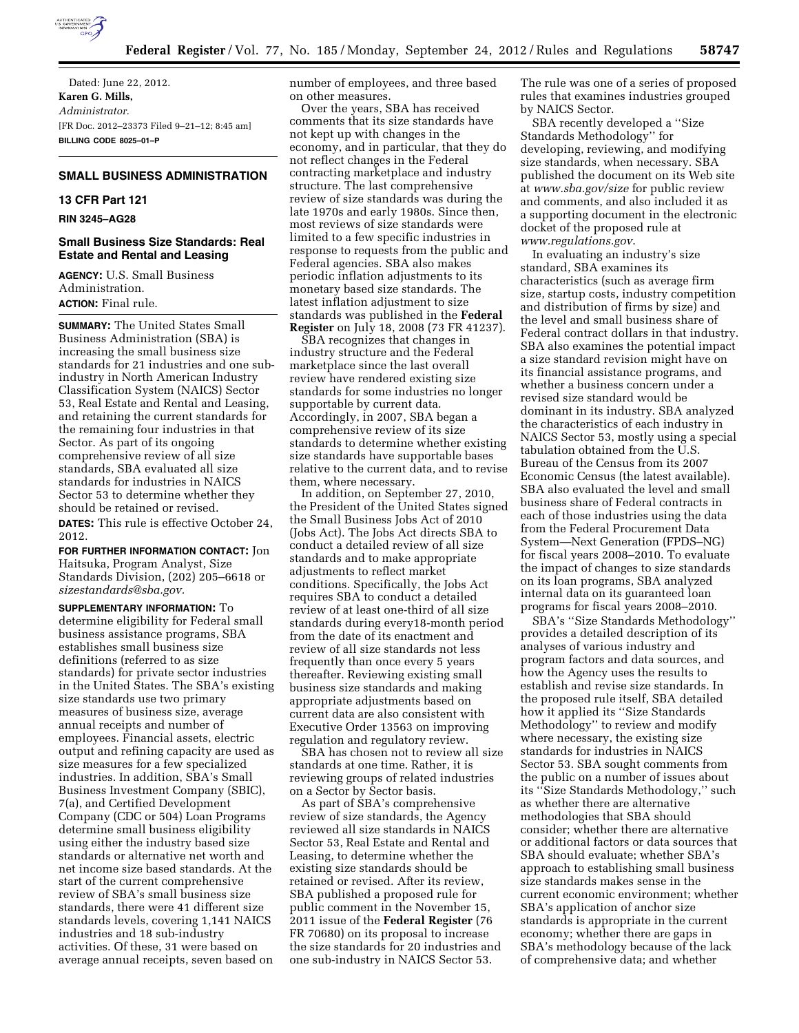

Dated: June 22, 2012. **Karen G. Mills,**  *Administrator.*  [FR Doc. 2012–23373 Filed 9–21–12; 8:45 am] **BILLING CODE 8025–01–P** 

# **SMALL BUSINESS ADMINISTRATION**

# **13 CFR Part 121**

#### **RIN 3245–AG28**

# **Small Business Size Standards: Real Estate and Rental and Leasing**

**AGENCY:** U.S. Small Business Administration. **ACTION:** Final rule.

**SUMMARY:** The United States Small Business Administration (SBA) is increasing the small business size standards for 21 industries and one subindustry in North American Industry Classification System (NAICS) Sector 53, Real Estate and Rental and Leasing, and retaining the current standards for the remaining four industries in that Sector. As part of its ongoing comprehensive review of all size standards, SBA evaluated all size standards for industries in NAICS Sector 53 to determine whether they should be retained or revised.

**DATES:** This rule is effective October 24, 2012.

**FOR FURTHER INFORMATION CONTACT:** Jon Haitsuka, Program Analyst, Size Standards Division, (202) 205–6618 or *[sizestandards@sba.gov.](mailto:sizestandards@sba.gov)* 

**SUPPLEMENTARY INFORMATION:** To determine eligibility for Federal small business assistance programs, SBA establishes small business size definitions (referred to as size standards) for private sector industries in the United States. The SBA's existing size standards use two primary measures of business size, average annual receipts and number of employees. Financial assets, electric output and refining capacity are used as size measures for a few specialized industries. In addition, SBA's Small Business Investment Company (SBIC), 7(a), and Certified Development Company (CDC or 504) Loan Programs determine small business eligibility using either the industry based size standards or alternative net worth and net income size based standards. At the start of the current comprehensive review of SBA's small business size standards, there were 41 different size standards levels, covering 1,141 NAICS industries and 18 sub-industry activities. Of these, 31 were based on average annual receipts, seven based on

number of employees, and three based on other measures.

Over the years, SBA has received comments that its size standards have not kept up with changes in the economy, and in particular, that they do not reflect changes in the Federal contracting marketplace and industry structure. The last comprehensive review of size standards was during the late 1970s and early 1980s. Since then, most reviews of size standards were limited to a few specific industries in response to requests from the public and Federal agencies. SBA also makes periodic inflation adjustments to its monetary based size standards. The latest inflation adjustment to size standards was published in the **Federal Register** on July 18, 2008 (73 FR 41237).

SBA recognizes that changes in industry structure and the Federal marketplace since the last overall review have rendered existing size standards for some industries no longer supportable by current data. Accordingly, in 2007, SBA began a comprehensive review of its size standards to determine whether existing size standards have supportable bases relative to the current data, and to revise them, where necessary.

In addition, on September 27, 2010, the President of the United States signed the Small Business Jobs Act of 2010 (Jobs Act). The Jobs Act directs SBA to conduct a detailed review of all size standards and to make appropriate adjustments to reflect market conditions. Specifically, the Jobs Act requires SBA to conduct a detailed review of at least one-third of all size standards during every18-month period from the date of its enactment and review of all size standards not less frequently than once every 5 years thereafter. Reviewing existing small business size standards and making appropriate adjustments based on current data are also consistent with Executive Order 13563 on improving regulation and regulatory review.

SBA has chosen not to review all size standards at one time. Rather, it is reviewing groups of related industries on a Sector by Sector basis.

As part of SBA's comprehensive review of size standards, the Agency reviewed all size standards in NAICS Sector 53, Real Estate and Rental and Leasing, to determine whether the existing size standards should be retained or revised. After its review, SBA published a proposed rule for public comment in the November 15, 2011 issue of the **Federal Register** (76 FR 70680) on its proposal to increase the size standards for 20 industries and one sub-industry in NAICS Sector 53.

The rule was one of a series of proposed rules that examines industries grouped by NAICS Sector.

SBA recently developed a ''Size Standards Methodology'' for developing, reviewing, and modifying size standards, when necessary. SBA published the document on its Web site at *[www.sba.gov/size](http://www.sba.gov/size)* for public review and comments, and also included it as a supporting document in the electronic docket of the proposed rule at *[www.regulations.gov](http://www.regulations.gov)*.

In evaluating an industry's size standard, SBA examines its characteristics (such as average firm size, startup costs, industry competition and distribution of firms by size) and the level and small business share of Federal contract dollars in that industry. SBA also examines the potential impact a size standard revision might have on its financial assistance programs, and whether a business concern under a revised size standard would be dominant in its industry. SBA analyzed the characteristics of each industry in NAICS Sector 53, mostly using a special tabulation obtained from the U.S. Bureau of the Census from its 2007 Economic Census (the latest available). SBA also evaluated the level and small business share of Federal contracts in each of those industries using the data from the Federal Procurement Data System—Next Generation (FPDS–NG) for fiscal years 2008–2010. To evaluate the impact of changes to size standards on its loan programs, SBA analyzed internal data on its guaranteed loan programs for fiscal years 2008–2010.

SBA's ''Size Standards Methodology'' provides a detailed description of its analyses of various industry and program factors and data sources, and how the Agency uses the results to establish and revise size standards. In the proposed rule itself, SBA detailed how it applied its ''Size Standards Methodology'' to review and modify where necessary, the existing size standards for industries in NAICS Sector 53. SBA sought comments from the public on a number of issues about its ''Size Standards Methodology,'' such as whether there are alternative methodologies that SBA should consider; whether there are alternative or additional factors or data sources that SBA should evaluate; whether SBA's approach to establishing small business size standards makes sense in the current economic environment; whether SBA's application of anchor size standards is appropriate in the current economy; whether there are gaps in SBA's methodology because of the lack of comprehensive data; and whether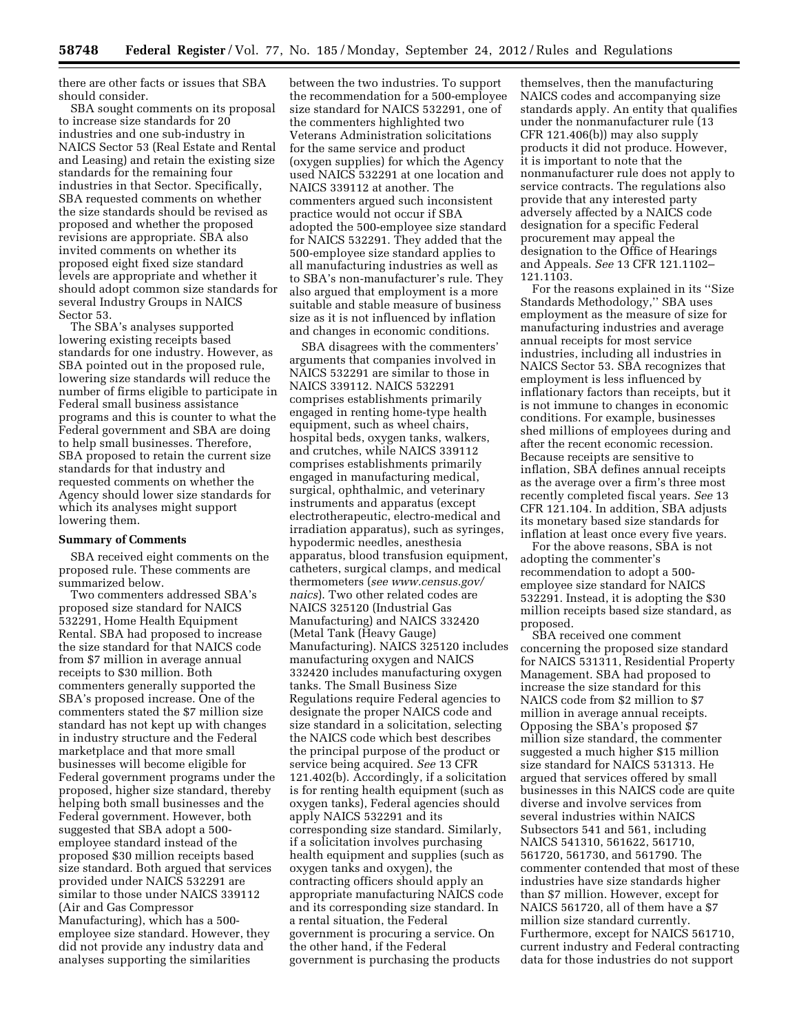there are other facts or issues that SBA should consider.

SBA sought comments on its proposal to increase size standards for 20 industries and one sub-industry in NAICS Sector 53 (Real Estate and Rental and Leasing) and retain the existing size standards for the remaining four industries in that Sector. Specifically, SBA requested comments on whether the size standards should be revised as proposed and whether the proposed revisions are appropriate. SBA also invited comments on whether its proposed eight fixed size standard levels are appropriate and whether it should adopt common size standards for several Industry Groups in NAICS Sector 53.

The SBA's analyses supported lowering existing receipts based standards for one industry. However, as SBA pointed out in the proposed rule, lowering size standards will reduce the number of firms eligible to participate in Federal small business assistance programs and this is counter to what the Federal government and SBA are doing to help small businesses. Therefore, SBA proposed to retain the current size standards for that industry and requested comments on whether the Agency should lower size standards for which its analyses might support lowering them.

#### **Summary of Comments**

SBA received eight comments on the proposed rule. These comments are summarized below.

Two commenters addressed SBA's proposed size standard for NAICS 532291, Home Health Equipment Rental. SBA had proposed to increase the size standard for that NAICS code from \$7 million in average annual receipts to \$30 million. Both commenters generally supported the SBA's proposed increase. One of the commenters stated the \$7 million size standard has not kept up with changes in industry structure and the Federal marketplace and that more small businesses will become eligible for Federal government programs under the proposed, higher size standard, thereby helping both small businesses and the Federal government. However, both suggested that SBA adopt a 500 employee standard instead of the proposed \$30 million receipts based size standard. Both argued that services provided under NAICS 532291 are similar to those under NAICS 339112 (Air and Gas Compressor Manufacturing), which has a 500 employee size standard. However, they did not provide any industry data and analyses supporting the similarities

between the two industries. To support the recommendation for a 500-employee size standard for NAICS 532291, one of the commenters highlighted two Veterans Administration solicitations for the same service and product (oxygen supplies) for which the Agency used NAICS 532291 at one location and NAICS 339112 at another. The commenters argued such inconsistent practice would not occur if SBA adopted the 500-employee size standard for NAICS 532291. They added that the 500-employee size standard applies to all manufacturing industries as well as to SBA's non-manufacturer's rule. They also argued that employment is a more suitable and stable measure of business size as it is not influenced by inflation and changes in economic conditions.

SBA disagrees with the commenters' arguments that companies involved in NAICS 532291 are similar to those in NAICS 339112. NAICS 532291 comprises establishments primarily engaged in renting home-type health equipment, such as wheel chairs, hospital beds, oxygen tanks, walkers, and crutches, while NAICS 339112 comprises establishments primarily engaged in manufacturing medical, surgical, ophthalmic, and veterinary instruments and apparatus (except electrotherapeutic, electro-medical and irradiation apparatus), such as syringes, hypodermic needles, anesthesia apparatus, blood transfusion equipment, catheters, surgical clamps, and medical thermometers (*see [www.census.gov/](http://www.census.gov/naics) [naics](http://www.census.gov/naics)*). Two other related codes are NAICS 325120 (Industrial Gas Manufacturing) and NAICS 332420 (Metal Tank (Heavy Gauge) Manufacturing). NAICS 325120 includes manufacturing oxygen and NAICS 332420 includes manufacturing oxygen tanks. The Small Business Size Regulations require Federal agencies to designate the proper NAICS code and size standard in a solicitation, selecting the NAICS code which best describes the principal purpose of the product or service being acquired. *See* 13 CFR 121.402(b). Accordingly, if a solicitation is for renting health equipment (such as oxygen tanks), Federal agencies should apply NAICS 532291 and its corresponding size standard. Similarly, if a solicitation involves purchasing health equipment and supplies (such as oxygen tanks and oxygen), the contracting officers should apply an appropriate manufacturing NAICS code and its corresponding size standard. In a rental situation, the Federal government is procuring a service. On the other hand, if the Federal government is purchasing the products

themselves, then the manufacturing NAICS codes and accompanying size standards apply. An entity that qualifies under the nonmanufacturer rule (13 CFR 121.406(b)) may also supply products it did not produce. However, it is important to note that the nonmanufacturer rule does not apply to service contracts. The regulations also provide that any interested party adversely affected by a NAICS code designation for a specific Federal procurement may appeal the designation to the Office of Hearings and Appeals. *See* 13 CFR 121.1102– 121.1103.

For the reasons explained in its ''Size Standards Methodology,'' SBA uses employment as the measure of size for manufacturing industries and average annual receipts for most service industries, including all industries in NAICS Sector 53. SBA recognizes that employment is less influenced by inflationary factors than receipts, but it is not immune to changes in economic conditions. For example, businesses shed millions of employees during and after the recent economic recession. Because receipts are sensitive to inflation, SBA defines annual receipts as the average over a firm's three most recently completed fiscal years. *See* 13 CFR 121.104. In addition, SBA adjusts its monetary based size standards for inflation at least once every five years.

For the above reasons, SBA is not adopting the commenter's recommendation to adopt a 500 employee size standard for NAICS 532291. Instead, it is adopting the \$30 million receipts based size standard, as proposed.

SBA received one comment concerning the proposed size standard for NAICS 531311, Residential Property Management. SBA had proposed to increase the size standard for this NAICS code from \$2 million to \$7 million in average annual receipts. Opposing the SBA's proposed \$7 million size standard, the commenter suggested a much higher \$15 million size standard for NAICS 531313. He argued that services offered by small businesses in this NAICS code are quite diverse and involve services from several industries within NAICS Subsectors 541 and 561, including NAICS 541310, 561622, 561710, 561720, 561730, and 561790. The commenter contended that most of these industries have size standards higher than \$7 million. However, except for NAICS 561720, all of them have a \$7 million size standard currently. Furthermore, except for NAICS 561710, current industry and Federal contracting data for those industries do not support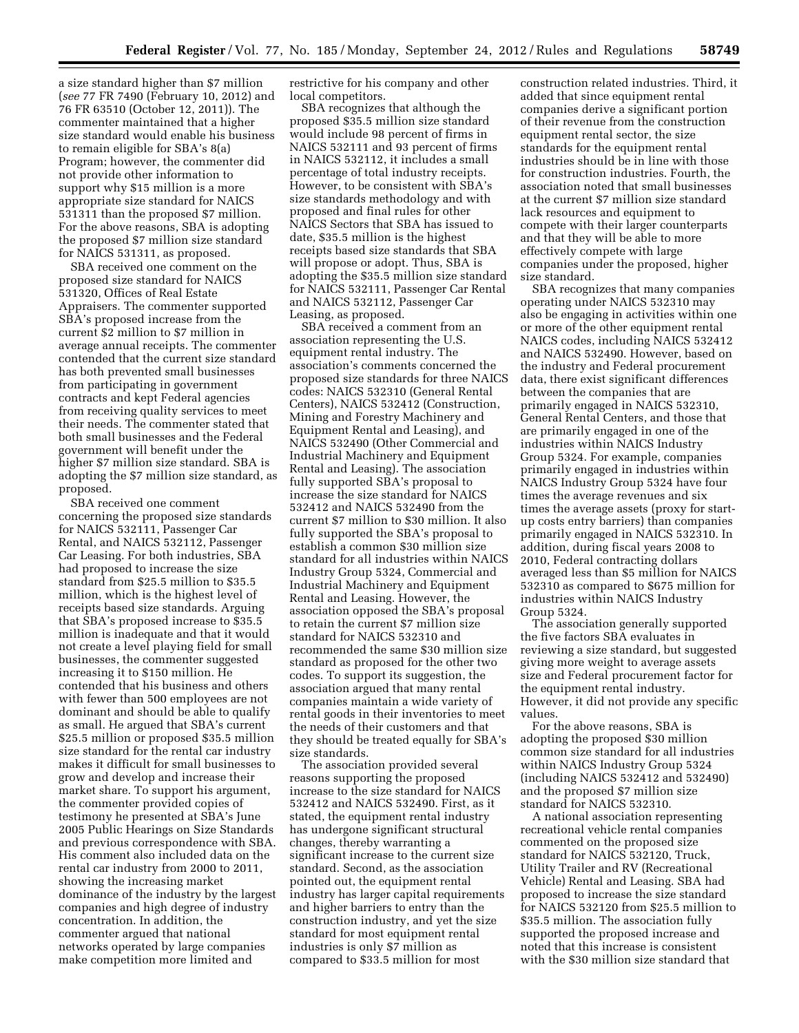a size standard higher than \$7 million (*see* 77 FR 7490 (February 10, 2012) and 76 FR 63510 (October 12, 2011)). The commenter maintained that a higher size standard would enable his business to remain eligible for SBA's 8(a) Program; however, the commenter did not provide other information to support why \$15 million is a more appropriate size standard for NAICS 531311 than the proposed \$7 million. For the above reasons, SBA is adopting the proposed \$7 million size standard for NAICS 531311, as proposed.

SBA received one comment on the proposed size standard for NAICS 531320, Offices of Real Estate Appraisers. The commenter supported SBA's proposed increase from the current \$2 million to \$7 million in average annual receipts. The commenter contended that the current size standard has both prevented small businesses from participating in government contracts and kept Federal agencies from receiving quality services to meet their needs. The commenter stated that both small businesses and the Federal government will benefit under the higher \$7 million size standard. SBA is adopting the \$7 million size standard, as proposed.

SBA received one comment concerning the proposed size standards for NAICS 532111, Passenger Car Rental, and NAICS 532112, Passenger Car Leasing. For both industries, SBA had proposed to increase the size standard from \$25.5 million to \$35.5 million, which is the highest level of receipts based size standards. Arguing that SBA's proposed increase to \$35.5 million is inadequate and that it would not create a level playing field for small businesses, the commenter suggested increasing it to \$150 million. He contended that his business and others with fewer than 500 employees are not dominant and should be able to qualify as small. He argued that SBA's current \$25.5 million or proposed \$35.5 million size standard for the rental car industry makes it difficult for small businesses to grow and develop and increase their market share. To support his argument, the commenter provided copies of testimony he presented at SBA's June 2005 Public Hearings on Size Standards and previous correspondence with SBA. His comment also included data on the rental car industry from 2000 to 2011, showing the increasing market dominance of the industry by the largest companies and high degree of industry concentration. In addition, the commenter argued that national networks operated by large companies make competition more limited and

restrictive for his company and other local competitors.

SBA recognizes that although the proposed \$35.5 million size standard would include 98 percent of firms in NAICS 532111 and 93 percent of firms in NAICS 532112, it includes a small percentage of total industry receipts. However, to be consistent with SBA's size standards methodology and with proposed and final rules for other NAICS Sectors that SBA has issued to date, \$35.5 million is the highest receipts based size standards that SBA will propose or adopt. Thus, SBA is adopting the \$35.5 million size standard for NAICS 532111, Passenger Car Rental and NAICS 532112, Passenger Car Leasing, as proposed.

SBA received a comment from an association representing the U.S. equipment rental industry. The association's comments concerned the proposed size standards for three NAICS codes: NAICS 532310 (General Rental Centers), NAICS 532412 (Construction, Mining and Forestry Machinery and Equipment Rental and Leasing), and NAICS 532490 (Other Commercial and Industrial Machinery and Equipment Rental and Leasing). The association fully supported SBA's proposal to increase the size standard for NAICS 532412 and NAICS 532490 from the current \$7 million to \$30 million. It also fully supported the SBA's proposal to establish a common \$30 million size standard for all industries within NAICS Industry Group 5324, Commercial and Industrial Machinery and Equipment Rental and Leasing. However, the association opposed the SBA's proposal to retain the current \$7 million size standard for NAICS 532310 and recommended the same \$30 million size standard as proposed for the other two codes. To support its suggestion, the association argued that many rental companies maintain a wide variety of rental goods in their inventories to meet the needs of their customers and that they should be treated equally for SBA's size standards.

The association provided several reasons supporting the proposed increase to the size standard for NAICS 532412 and NAICS 532490. First, as it stated, the equipment rental industry has undergone significant structural changes, thereby warranting a significant increase to the current size standard. Second, as the association pointed out, the equipment rental industry has larger capital requirements and higher barriers to entry than the construction industry, and yet the size standard for most equipment rental industries is only \$7 million as compared to \$33.5 million for most

construction related industries. Third, it added that since equipment rental companies derive a significant portion of their revenue from the construction equipment rental sector, the size standards for the equipment rental industries should be in line with those for construction industries. Fourth, the association noted that small businesses at the current \$7 million size standard lack resources and equipment to compete with their larger counterparts and that they will be able to more effectively compete with large companies under the proposed, higher size standard.

SBA recognizes that many companies operating under NAICS 532310 may also be engaging in activities within one or more of the other equipment rental NAICS codes, including NAICS 532412 and NAICS 532490. However, based on the industry and Federal procurement data, there exist significant differences between the companies that are primarily engaged in NAICS 532310, General Rental Centers, and those that are primarily engaged in one of the industries within NAICS Industry Group 5324. For example, companies primarily engaged in industries within NAICS Industry Group 5324 have four times the average revenues and six times the average assets (proxy for startup costs entry barriers) than companies primarily engaged in NAICS 532310. In addition, during fiscal years 2008 to 2010, Federal contracting dollars averaged less than \$5 million for NAICS 532310 as compared to \$675 million for industries within NAICS Industry Group 5324.

The association generally supported the five factors SBA evaluates in reviewing a size standard, but suggested giving more weight to average assets size and Federal procurement factor for the equipment rental industry. However, it did not provide any specific values.

For the above reasons, SBA is adopting the proposed \$30 million common size standard for all industries within NAICS Industry Group 5324 (including NAICS 532412 and 532490) and the proposed \$7 million size standard for NAICS 532310.

A national association representing recreational vehicle rental companies commented on the proposed size standard for NAICS 532120, Truck, Utility Trailer and RV (Recreational Vehicle) Rental and Leasing. SBA had proposed to increase the size standard for NAICS 532120 from \$25.5 million to \$35.5 million. The association fully supported the proposed increase and noted that this increase is consistent with the \$30 million size standard that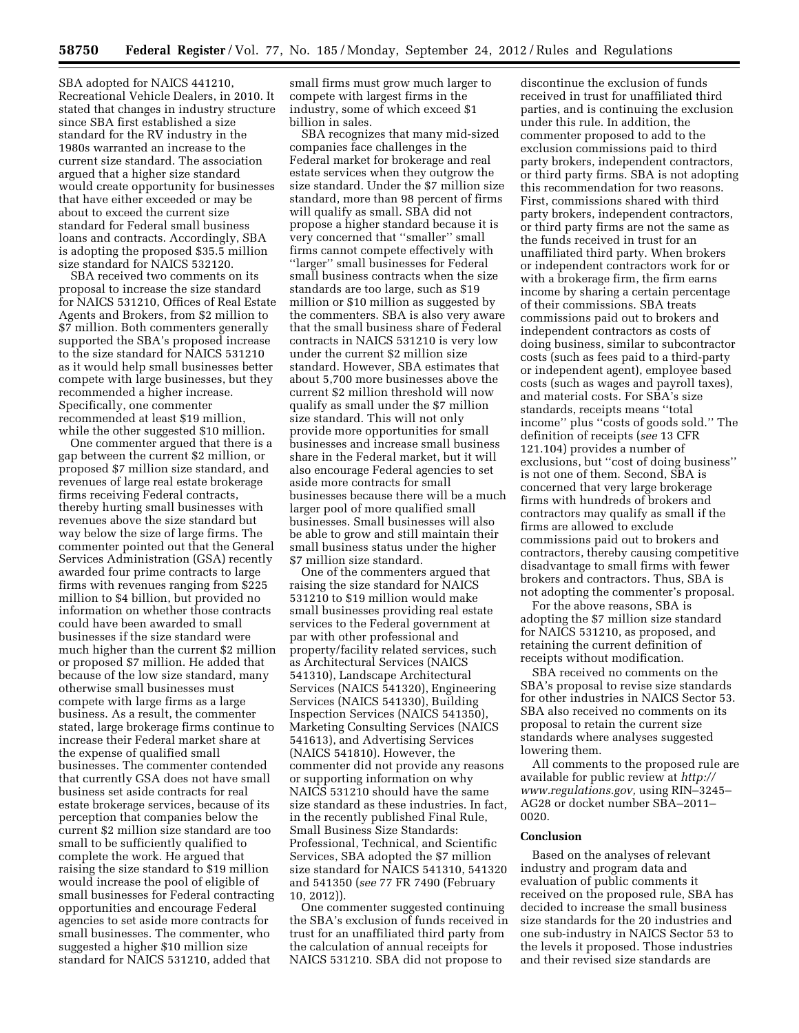SBA adopted for NAICS 441210, Recreational Vehicle Dealers, in 2010. It stated that changes in industry structure since SBA first established a size standard for the RV industry in the 1980s warranted an increase to the current size standard. The association argued that a higher size standard would create opportunity for businesses that have either exceeded or may be about to exceed the current size standard for Federal small business loans and contracts. Accordingly, SBA is adopting the proposed \$35.5 million size standard for NAICS 532120.

SBA received two comments on its proposal to increase the size standard for NAICS 531210, Offices of Real Estate Agents and Brokers, from \$2 million to \$7 million. Both commenters generally supported the SBA's proposed increase to the size standard for NAICS 531210 as it would help small businesses better compete with large businesses, but they recommended a higher increase. Specifically, one commenter recommended at least \$19 million, while the other suggested \$10 million.

One commenter argued that there is a gap between the current \$2 million, or proposed \$7 million size standard, and revenues of large real estate brokerage firms receiving Federal contracts, thereby hurting small businesses with revenues above the size standard but way below the size of large firms. The commenter pointed out that the General Services Administration (GSA) recently awarded four prime contracts to large firms with revenues ranging from \$225 million to \$4 billion, but provided no information on whether those contracts could have been awarded to small businesses if the size standard were much higher than the current \$2 million or proposed \$7 million. He added that because of the low size standard, many otherwise small businesses must compete with large firms as a large business. As a result, the commenter stated, large brokerage firms continue to increase their Federal market share at the expense of qualified small businesses. The commenter contended that currently GSA does not have small business set aside contracts for real estate brokerage services, because of its perception that companies below the current \$2 million size standard are too small to be sufficiently qualified to complete the work. He argued that raising the size standard to \$19 million would increase the pool of eligible of small businesses for Federal contracting opportunities and encourage Federal agencies to set aside more contracts for small businesses. The commenter, who suggested a higher \$10 million size standard for NAICS 531210, added that

small firms must grow much larger to compete with largest firms in the industry, some of which exceed \$1 billion in sales.

SBA recognizes that many mid-sized companies face challenges in the Federal market for brokerage and real estate services when they outgrow the size standard. Under the \$7 million size standard, more than 98 percent of firms will qualify as small. SBA did not propose a higher standard because it is very concerned that ''smaller'' small firms cannot compete effectively with ''larger'' small businesses for Federal small business contracts when the size standards are too large, such as \$19 million or \$10 million as suggested by the commenters. SBA is also very aware that the small business share of Federal contracts in NAICS 531210 is very low under the current \$2 million size standard. However, SBA estimates that about 5,700 more businesses above the current \$2 million threshold will now qualify as small under the \$7 million size standard. This will not only provide more opportunities for small businesses and increase small business share in the Federal market, but it will also encourage Federal agencies to set aside more contracts for small businesses because there will be a much larger pool of more qualified small businesses. Small businesses will also be able to grow and still maintain their small business status under the higher \$7 million size standard.

One of the commenters argued that raising the size standard for NAICS 531210 to \$19 million would make small businesses providing real estate services to the Federal government at par with other professional and property/facility related services, such as Architectural Services (NAICS 541310), Landscape Architectural Services (NAICS 541320), Engineering Services (NAICS 541330), Building Inspection Services (NAICS 541350), Marketing Consulting Services (NAICS 541613), and Advertising Services (NAICS 541810). However, the commenter did not provide any reasons or supporting information on why NAICS 531210 should have the same size standard as these industries. In fact, in the recently published Final Rule, Small Business Size Standards: Professional, Technical, and Scientific Services, SBA adopted the \$7 million size standard for NAICS 541310, 541320 and 541350 (*see* 77 FR 7490 (February 10, 2012)).

One commenter suggested continuing the SBA's exclusion of funds received in trust for an unaffiliated third party from the calculation of annual receipts for NAICS 531210. SBA did not propose to

discontinue the exclusion of funds received in trust for unaffiliated third parties, and is continuing the exclusion under this rule. In addition, the commenter proposed to add to the exclusion commissions paid to third party brokers, independent contractors, or third party firms. SBA is not adopting this recommendation for two reasons. First, commissions shared with third party brokers, independent contractors, or third party firms are not the same as the funds received in trust for an unaffiliated third party. When brokers or independent contractors work for or with a brokerage firm, the firm earns income by sharing a certain percentage of their commissions. SBA treats commissions paid out to brokers and independent contractors as costs of doing business, similar to subcontractor costs (such as fees paid to a third-party or independent agent), employee based costs (such as wages and payroll taxes), and material costs. For SBA's size standards, receipts means ''total income'' plus ''costs of goods sold.'' The definition of receipts (*see* 13 CFR 121.104) provides a number of exclusions, but ''cost of doing business'' is not one of them. Second, SBA is concerned that very large brokerage firms with hundreds of brokers and contractors may qualify as small if the firms are allowed to exclude commissions paid out to brokers and contractors, thereby causing competitive disadvantage to small firms with fewer brokers and contractors. Thus, SBA is not adopting the commenter's proposal.

For the above reasons, SBA is adopting the \$7 million size standard for NAICS 531210, as proposed, and retaining the current definition of receipts without modification.

SBA received no comments on the SBA's proposal to revise size standards for other industries in NAICS Sector 53. SBA also received no comments on its proposal to retain the current size standards where analyses suggested lowering them.

All comments to the proposed rule are available for public review at *[http://](http://www.regulations.gov) [www.regulations.gov,](http://www.regulations.gov)* using RIN–3245– AG28 or docket number SBA–2011– 0020.

#### **Conclusion**

Based on the analyses of relevant industry and program data and evaluation of public comments it received on the proposed rule, SBA has decided to increase the small business size standards for the 20 industries and one sub-industry in NAICS Sector 53 to the levels it proposed. Those industries and their revised size standards are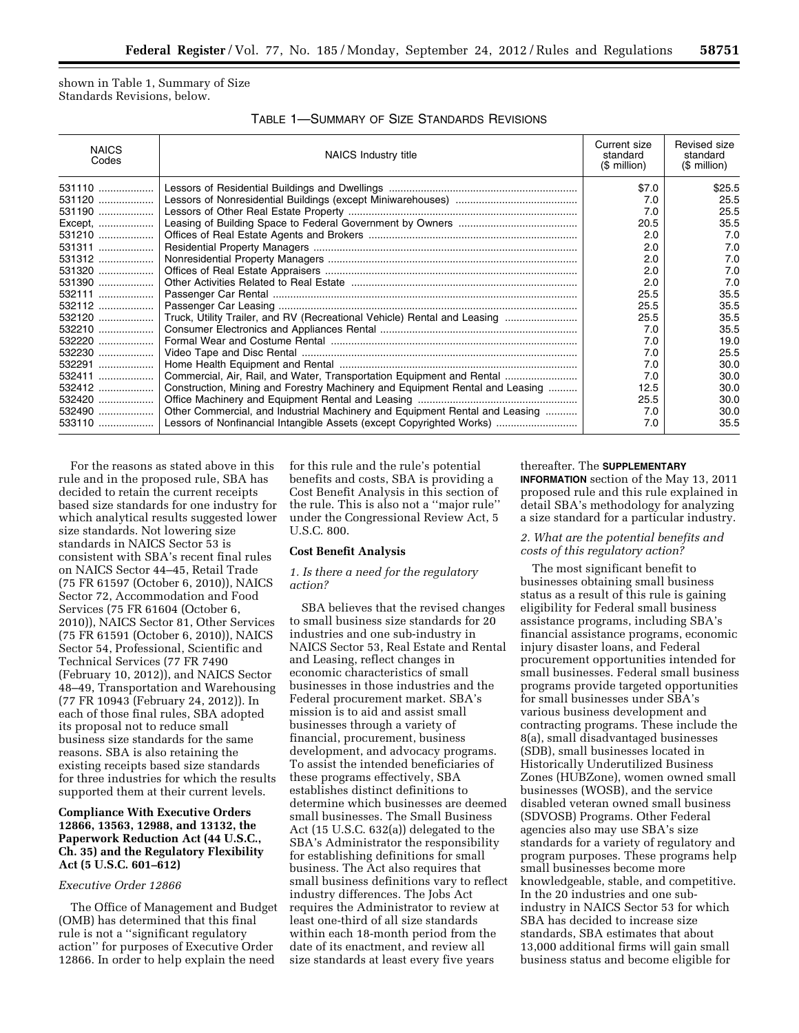shown in Table 1, Summary of Size Standards Revisions, below.

| <b>NAICS</b><br>Codes | NAICS Industry title                                                         | Current size<br>standard<br>$$$ million) | Revised size<br>standard<br>(\$ million) |
|-----------------------|------------------------------------------------------------------------------|------------------------------------------|------------------------------------------|
| 531110                |                                                                              | \$7.0                                    | \$25.5                                   |
| 531120                |                                                                              | 7.0                                      | 25.5                                     |
| 531190                |                                                                              | 7.0                                      | 25.5                                     |
| Except,               |                                                                              | 20.5                                     | 35.5                                     |
| 531210                |                                                                              | 2.0                                      | 7.0                                      |
| 531311                |                                                                              | 2.0                                      | 7.0                                      |
| 531312                |                                                                              | 2.0                                      | 7.0                                      |
| 531320                |                                                                              | 2.0                                      | 7.0                                      |
| 531390                |                                                                              | 2.0                                      | 7.0                                      |
| 532111                |                                                                              | 25.5                                     | 35.5                                     |
| 532112                |                                                                              | 25.5                                     | 35.5                                     |
| 532120                | Truck, Utility Trailer, and RV (Recreational Vehicle) Rental and Leasing     | 25.5                                     | 35.5                                     |
| 532210                |                                                                              | 7.0                                      | 35.5                                     |
| 532220                |                                                                              | 7.0                                      | 19.0                                     |
| 532230                |                                                                              | 7.0                                      | 25.5                                     |
| 532291                |                                                                              | 7.0                                      | 30.0                                     |
| 532411                | Commercial, Air, Rail, and Water, Transportation Equipment and Rental        | 7.0                                      | 30.0                                     |
| 532412                | Construction, Mining and Forestry Machinery and Equipment Rental and Leasing | 12.5                                     | 30.0                                     |
| 532420                |                                                                              | 25.5                                     | 30.0                                     |
| 532490                | Other Commercial, and Industrial Machinery and Equipment Rental and Leasing  | 7.0                                      | 30.0                                     |
| 533110                | Lessors of Nonfinancial Intangible Assets (except Copyrighted Works)         | 7.0                                      | 35.5                                     |

For the reasons as stated above in this rule and in the proposed rule, SBA has decided to retain the current receipts based size standards for one industry for which analytical results suggested lower size standards. Not lowering size standards in NAICS Sector 53 is consistent with SBA's recent final rules on NAICS Sector 44–45, Retail Trade (75 FR 61597 (October 6, 2010)), NAICS Sector 72, Accommodation and Food Services (75 FR 61604 (October 6, 2010)), NAICS Sector 81, Other Services (75 FR 61591 (October 6, 2010)), NAICS Sector 54, Professional, Scientific and Technical Services (77 FR 7490 (February 10, 2012)), and NAICS Sector 48–49, Transportation and Warehousing (77 FR 10943 (February 24, 2012)). In each of those final rules, SBA adopted its proposal not to reduce small business size standards for the same reasons. SBA is also retaining the existing receipts based size standards for three industries for which the results supported them at their current levels.

## **Compliance With Executive Orders 12866, 13563, 12988, and 13132, the Paperwork Reduction Act (44 U.S.C., Ch. 35) and the Regulatory Flexibility Act (5 U.S.C. 601–612)**

## *Executive Order 12866*

The Office of Management and Budget (OMB) has determined that this final rule is not a ''significant regulatory action'' for purposes of Executive Order 12866. In order to help explain the need

for this rule and the rule's potential benefits and costs, SBA is providing a Cost Benefit Analysis in this section of the rule. This is also not a ''major rule'' under the Congressional Review Act, 5 U.S.C. 800.

#### **Cost Benefit Analysis**

### *1. Is there a need for the regulatory action?*

SBA believes that the revised changes to small business size standards for 20 industries and one sub-industry in NAICS Sector 53, Real Estate and Rental and Leasing, reflect changes in economic characteristics of small businesses in those industries and the Federal procurement market. SBA's mission is to aid and assist small businesses through a variety of financial, procurement, business development, and advocacy programs. To assist the intended beneficiaries of these programs effectively, SBA establishes distinct definitions to determine which businesses are deemed small businesses. The Small Business Act (15 U.S.C. 632(a)) delegated to the SBA's Administrator the responsibility for establishing definitions for small business. The Act also requires that small business definitions vary to reflect industry differences. The Jobs Act requires the Administrator to review at least one-third of all size standards within each 18-month period from the date of its enactment, and review all size standards at least every five years

# thereafter. The **SUPPLEMENTARY INFORMATION** section of the May 13, 2011 proposed rule and this rule explained in

detail SBA's methodology for analyzing a size standard for a particular industry.

# *2. What are the potential benefits and costs of this regulatory action?*

The most significant benefit to businesses obtaining small business status as a result of this rule is gaining eligibility for Federal small business assistance programs, including SBA's financial assistance programs, economic injury disaster loans, and Federal procurement opportunities intended for small businesses. Federal small business programs provide targeted opportunities for small businesses under SBA's various business development and contracting programs. These include the 8(a), small disadvantaged businesses (SDB), small businesses located in Historically Underutilized Business Zones (HUBZone), women owned small businesses (WOSB), and the service disabled veteran owned small business (SDVOSB) Programs. Other Federal agencies also may use SBA's size standards for a variety of regulatory and program purposes. These programs help small businesses become more knowledgeable, stable, and competitive. In the 20 industries and one subindustry in NAICS Sector 53 for which SBA has decided to increase size standards, SBA estimates that about 13,000 additional firms will gain small business status and become eligible for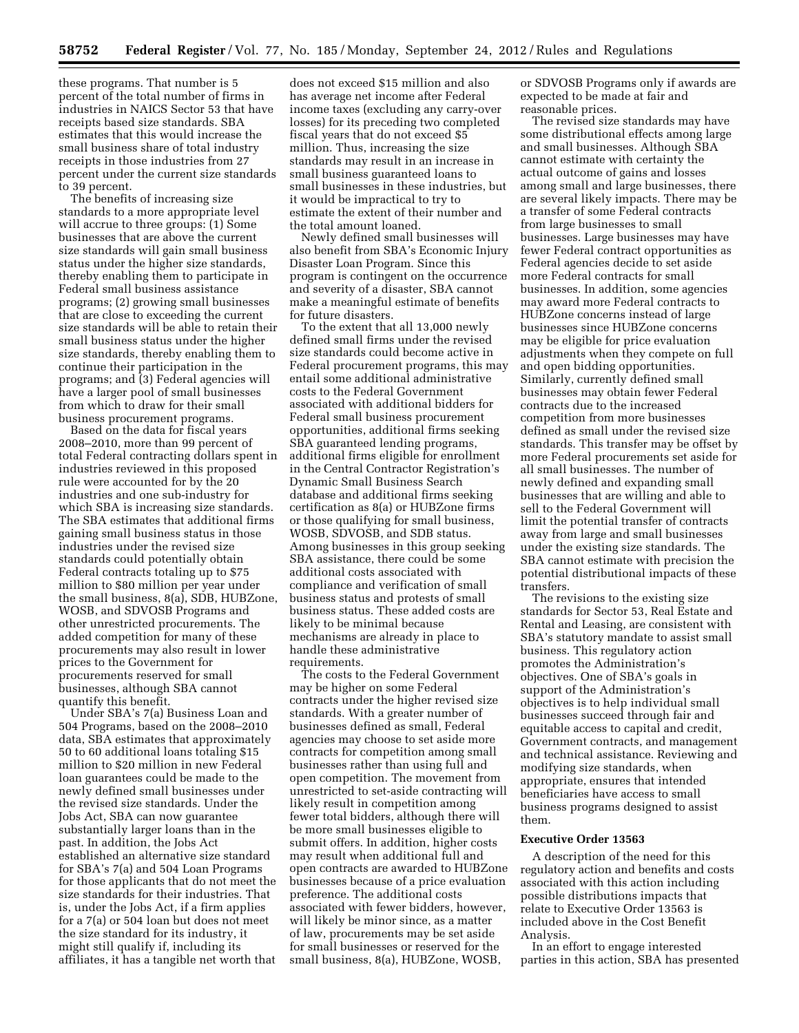these programs. That number is 5 percent of the total number of firms in industries in NAICS Sector 53 that have receipts based size standards. SBA estimates that this would increase the small business share of total industry receipts in those industries from 27 percent under the current size standards to 39 percent.

The benefits of increasing size standards to a more appropriate level will accrue to three groups: (1) Some businesses that are above the current size standards will gain small business status under the higher size standards, thereby enabling them to participate in Federal small business assistance programs; (2) growing small businesses that are close to exceeding the current size standards will be able to retain their small business status under the higher size standards, thereby enabling them to continue their participation in the programs; and (3) Federal agencies will have a larger pool of small businesses from which to draw for their small business procurement programs.

Based on the data for fiscal years 2008–2010, more than 99 percent of total Federal contracting dollars spent in industries reviewed in this proposed rule were accounted for by the 20 industries and one sub-industry for which SBA is increasing size standards. The SBA estimates that additional firms gaining small business status in those industries under the revised size standards could potentially obtain Federal contracts totaling up to \$75 million to \$80 million per year under the small business, 8(a), SDB, HUBZone, WOSB, and SDVOSB Programs and other unrestricted procurements. The added competition for many of these procurements may also result in lower prices to the Government for procurements reserved for small businesses, although SBA cannot quantify this benefit.

Under SBA's 7(a) Business Loan and 504 Programs, based on the 2008–2010 data, SBA estimates that approximately 50 to 60 additional loans totaling \$15 million to \$20 million in new Federal loan guarantees could be made to the newly defined small businesses under the revised size standards. Under the Jobs Act, SBA can now guarantee substantially larger loans than in the past. In addition, the Jobs Act established an alternative size standard for SBA's 7(a) and 504 Loan Programs for those applicants that do not meet the size standards for their industries. That is, under the Jobs Act, if a firm applies for a 7(a) or 504 loan but does not meet the size standard for its industry, it might still qualify if, including its affiliates, it has a tangible net worth that

does not exceed \$15 million and also has average net income after Federal income taxes (excluding any carry-over losses) for its preceding two completed fiscal years that do not exceed \$5 million. Thus, increasing the size standards may result in an increase in small business guaranteed loans to small businesses in these industries, but it would be impractical to try to estimate the extent of their number and the total amount loaned.

Newly defined small businesses will also benefit from SBA's Economic Injury Disaster Loan Program. Since this program is contingent on the occurrence and severity of a disaster, SBA cannot make a meaningful estimate of benefits for future disasters.

To the extent that all 13,000 newly defined small firms under the revised size standards could become active in Federal procurement programs, this may entail some additional administrative costs to the Federal Government associated with additional bidders for Federal small business procurement opportunities, additional firms seeking SBA guaranteed lending programs, additional firms eligible for enrollment in the Central Contractor Registration's Dynamic Small Business Search database and additional firms seeking certification as 8(a) or HUBZone firms or those qualifying for small business, WOSB, SDVOSB, and SDB status. Among businesses in this group seeking SBA assistance, there could be some additional costs associated with compliance and verification of small business status and protests of small business status. These added costs are likely to be minimal because mechanisms are already in place to handle these administrative requirements.

The costs to the Federal Government may be higher on some Federal contracts under the higher revised size standards. With a greater number of businesses defined as small, Federal agencies may choose to set aside more contracts for competition among small businesses rather than using full and open competition. The movement from unrestricted to set-aside contracting will likely result in competition among fewer total bidders, although there will be more small businesses eligible to submit offers. In addition, higher costs may result when additional full and open contracts are awarded to HUBZone businesses because of a price evaluation preference. The additional costs associated with fewer bidders, however, will likely be minor since, as a matter of law, procurements may be set aside for small businesses or reserved for the small business, 8(a), HUBZone, WOSB,

or SDVOSB Programs only if awards are expected to be made at fair and reasonable prices.

The revised size standards may have some distributional effects among large and small businesses. Although SBA cannot estimate with certainty the actual outcome of gains and losses among small and large businesses, there are several likely impacts. There may be a transfer of some Federal contracts from large businesses to small businesses. Large businesses may have fewer Federal contract opportunities as Federal agencies decide to set aside more Federal contracts for small businesses. In addition, some agencies may award more Federal contracts to HUBZone concerns instead of large businesses since HUBZone concerns may be eligible for price evaluation adjustments when they compete on full and open bidding opportunities. Similarly, currently defined small businesses may obtain fewer Federal contracts due to the increased competition from more businesses defined as small under the revised size standards. This transfer may be offset by more Federal procurements set aside for all small businesses. The number of newly defined and expanding small businesses that are willing and able to sell to the Federal Government will limit the potential transfer of contracts away from large and small businesses under the existing size standards. The SBA cannot estimate with precision the potential distributional impacts of these transfers.

The revisions to the existing size standards for Sector 53, Real Estate and Rental and Leasing, are consistent with SBA's statutory mandate to assist small business. This regulatory action promotes the Administration's objectives. One of SBA's goals in support of the Administration's objectives is to help individual small businesses succeed through fair and equitable access to capital and credit, Government contracts, and management and technical assistance. Reviewing and modifying size standards, when appropriate, ensures that intended beneficiaries have access to small business programs designed to assist them.

### **Executive Order 13563**

A description of the need for this regulatory action and benefits and costs associated with this action including possible distributions impacts that relate to Executive Order 13563 is included above in the Cost Benefit Analysis.

In an effort to engage interested parties in this action, SBA has presented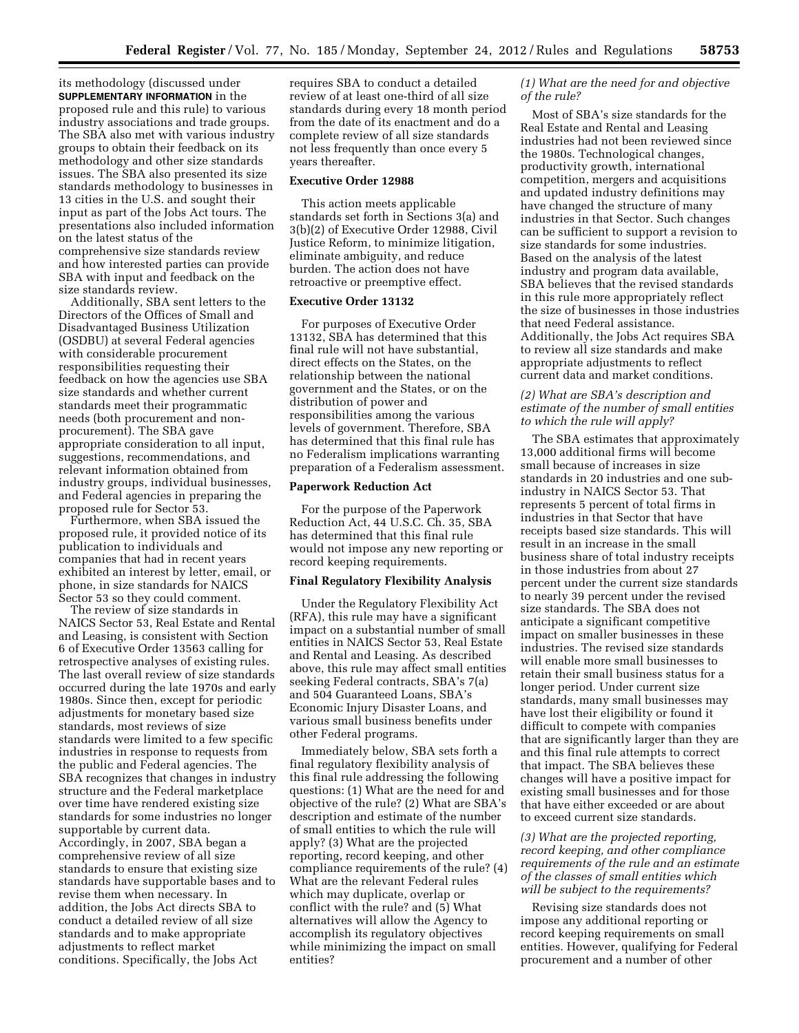its methodology (discussed under **SUPPLEMENTARY INFORMATION** in the proposed rule and this rule) to various industry associations and trade groups. The SBA also met with various industry groups to obtain their feedback on its methodology and other size standards issues. The SBA also presented its size standards methodology to businesses in 13 cities in the U.S. and sought their input as part of the Jobs Act tours. The presentations also included information on the latest status of the comprehensive size standards review and how interested parties can provide SBA with input and feedback on the size standards review.

Additionally, SBA sent letters to the Directors of the Offices of Small and Disadvantaged Business Utilization (OSDBU) at several Federal agencies with considerable procurement responsibilities requesting their feedback on how the agencies use SBA size standards and whether current standards meet their programmatic needs (both procurement and nonprocurement). The SBA gave appropriate consideration to all input, suggestions, recommendations, and relevant information obtained from industry groups, individual businesses, and Federal agencies in preparing the proposed rule for Sector 53.

Furthermore, when SBA issued the proposed rule, it provided notice of its publication to individuals and companies that had in recent years exhibited an interest by letter, email, or phone, in size standards for NAICS Sector 53 so they could comment.

The review of size standards in NAICS Sector 53, Real Estate and Rental and Leasing, is consistent with Section 6 of Executive Order 13563 calling for retrospective analyses of existing rules. The last overall review of size standards occurred during the late 1970s and early 1980s. Since then, except for periodic adjustments for monetary based size standards, most reviews of size standards were limited to a few specific industries in response to requests from the public and Federal agencies. The SBA recognizes that changes in industry structure and the Federal marketplace over time have rendered existing size standards for some industries no longer supportable by current data. Accordingly, in 2007, SBA began a comprehensive review of all size standards to ensure that existing size standards have supportable bases and to revise them when necessary. In addition, the Jobs Act directs SBA to conduct a detailed review of all size standards and to make appropriate adjustments to reflect market conditions. Specifically, the Jobs Act

requires SBA to conduct a detailed review of at least one-third of all size standards during every 18 month period from the date of its enactment and do a complete review of all size standards not less frequently than once every 5 years thereafter.

#### **Executive Order 12988**

This action meets applicable standards set forth in Sections 3(a) and 3(b)(2) of Executive Order 12988, Civil Justice Reform, to minimize litigation, eliminate ambiguity, and reduce burden. The action does not have retroactive or preemptive effect.

## **Executive Order 13132**

For purposes of Executive Order 13132, SBA has determined that this final rule will not have substantial, direct effects on the States, on the relationship between the national government and the States, or on the distribution of power and responsibilities among the various levels of government. Therefore, SBA has determined that this final rule has no Federalism implications warranting preparation of a Federalism assessment.

## **Paperwork Reduction Act**

For the purpose of the Paperwork Reduction Act, 44 U.S.C. Ch. 35, SBA has determined that this final rule would not impose any new reporting or record keeping requirements.

## **Final Regulatory Flexibility Analysis**

Under the Regulatory Flexibility Act (RFA), this rule may have a significant impact on a substantial number of small entities in NAICS Sector 53, Real Estate and Rental and Leasing. As described above, this rule may affect small entities seeking Federal contracts, SBA's 7(a) and 504 Guaranteed Loans, SBA's Economic Injury Disaster Loans, and various small business benefits under other Federal programs.

Immediately below, SBA sets forth a final regulatory flexibility analysis of this final rule addressing the following questions: (1) What are the need for and objective of the rule? (2) What are SBA's description and estimate of the number of small entities to which the rule will apply? (3) What are the projected reporting, record keeping, and other compliance requirements of the rule? (4) What are the relevant Federal rules which may duplicate, overlap or conflict with the rule? and (5) What alternatives will allow the Agency to accomplish its regulatory objectives while minimizing the impact on small entities?

## *(1) What are the need for and objective of the rule?*

Most of SBA's size standards for the Real Estate and Rental and Leasing industries had not been reviewed since the 1980s. Technological changes, productivity growth, international competition, mergers and acquisitions and updated industry definitions may have changed the structure of many industries in that Sector. Such changes can be sufficient to support a revision to size standards for some industries. Based on the analysis of the latest industry and program data available, SBA believes that the revised standards in this rule more appropriately reflect the size of businesses in those industries that need Federal assistance. Additionally, the Jobs Act requires SBA to review all size standards and make appropriate adjustments to reflect current data and market conditions.

## *(2) What are SBA's description and estimate of the number of small entities to which the rule will apply?*

The SBA estimates that approximately 13,000 additional firms will become small because of increases in size standards in 20 industries and one subindustry in NAICS Sector 53. That represents 5 percent of total firms in industries in that Sector that have receipts based size standards. This will result in an increase in the small business share of total industry receipts in those industries from about 27 percent under the current size standards to nearly 39 percent under the revised size standards. The SBA does not anticipate a significant competitive impact on smaller businesses in these industries. The revised size standards will enable more small businesses to retain their small business status for a longer period. Under current size standards, many small businesses may have lost their eligibility or found it difficult to compete with companies that are significantly larger than they are and this final rule attempts to correct that impact. The SBA believes these changes will have a positive impact for existing small businesses and for those that have either exceeded or are about to exceed current size standards.

# *(3) What are the projected reporting, record keeping, and other compliance requirements of the rule and an estimate of the classes of small entities which will be subject to the requirements?*

Revising size standards does not impose any additional reporting or record keeping requirements on small entities. However, qualifying for Federal procurement and a number of other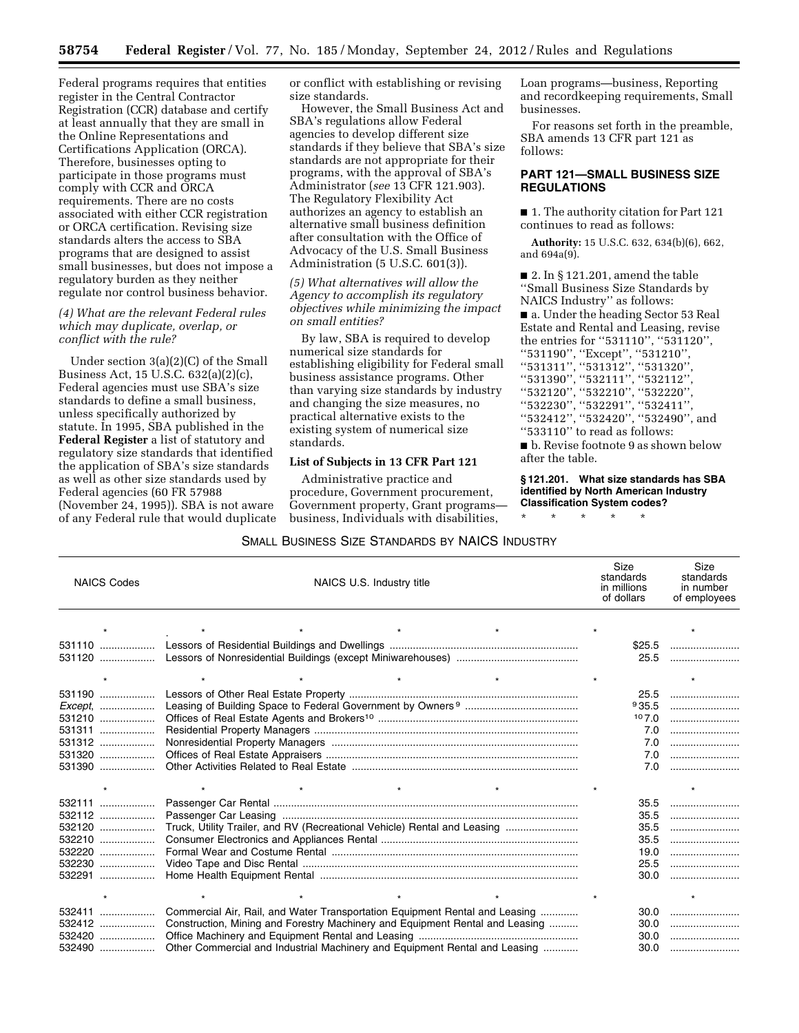Federal programs requires that entities register in the Central Contractor Registration (CCR) database and certify at least annually that they are small in the Online Representations and Certifications Application (ORCA). Therefore, businesses opting to participate in those programs must comply with CCR and ORCA requirements. There are no costs associated with either CCR registration or ORCA certification. Revising size standards alters the access to SBA programs that are designed to assist small businesses, but does not impose a regulatory burden as they neither regulate nor control business behavior.

## *(4) What are the relevant Federal rules which may duplicate, overlap, or conflict with the rule?*

Under section 3(a)(2)(C) of the Small Business Act, 15 U.S.C. 632(a)(2)(c), Federal agencies must use SBA's size standards to define a small business, unless specifically authorized by statute. In 1995, SBA published in the **Federal Register** a list of statutory and regulatory size standards that identified the application of SBA's size standards as well as other size standards used by Federal agencies (60 FR 57988 (November 24, 1995)). SBA is not aware of any Federal rule that would duplicate or conflict with establishing or revising size standards.

However, the Small Business Act and SBA's regulations allow Federal agencies to develop different size standards if they believe that SBA's size standards are not appropriate for their programs, with the approval of SBA's Administrator (*see* 13 CFR 121.903). The Regulatory Flexibility Act authorizes an agency to establish an alternative small business definition after consultation with the Office of Advocacy of the U.S. Small Business Administration (5 U.S.C. 601(3)).

*(5) What alternatives will allow the Agency to accomplish its regulatory objectives while minimizing the impact on small entities?* 

By law, SBA is required to develop numerical size standards for establishing eligibility for Federal small business assistance programs. Other than varying size standards by industry and changing the size measures, no practical alternative exists to the existing system of numerical size standards.

### **List of Subjects in 13 CFR Part 121**

Administrative practice and procedure, Government procurement, Government property, Grant programs business, Individuals with disabilities,

Loan programs—business, Reporting and recordkeeping requirements, Small businesses.

For reasons set forth in the preamble, SBA amends 13 CFR part 121 as follows:

## **PART 121—SMALL BUSINESS SIZE REGULATIONS**

■ 1. The authority citation for Part 121 continues to read as follows:

**Authority:** 15 U.S.C. 632, 634(b)(6), 662, and 694a(9).

■ 2. In § 121.201, amend the table ''Small Business Size Standards by NAICS Industry'' as follows: ■ a. Under the heading Sector 53 Real Estate and Rental and Leasing, revise the entries for ''531110'', ''531120'', ''531190'', ''Except'', ''531210'', ''531311'', ''531312'', ''531320'', ''531390'', ''532111'', ''532112'', ''532120'', ''532210'', ''532220'', ''532230'', ''532291'', ''532411'', ''532412'', ''532420'', ''532490'', and ''533110'' to read as follows:

■ b. Revise footnote 9 as shown below after the table.

**§ 121.201. What size standards has SBA identified by North American Industry Classification System codes?** 

\* \* \* \* \*

# SMALL BUSINESS SIZE STANDARDS BY NAICS INDUSTRY

| <b>NAICS Codes</b> | NAICS U.S. Industry title                                                    | Size<br>standards<br>in millions<br>of dollars | Size<br>standards<br>in number<br>of employees |
|--------------------|------------------------------------------------------------------------------|------------------------------------------------|------------------------------------------------|
|                    |                                                                              |                                                |                                                |
|                    |                                                                              |                                                |                                                |
| 531110<br>531120   |                                                                              | \$25.5                                         | 25.5                                           |
|                    |                                                                              |                                                |                                                |
|                    |                                                                              |                                                |                                                |
| 531190             |                                                                              | 25.5                                           |                                                |
| $Exception$ ,      |                                                                              | 935.5                                          |                                                |
| 531210             |                                                                              | 107.0                                          |                                                |
| 531311             |                                                                              | 7.0                                            |                                                |
| 531312             |                                                                              | 7.0                                            |                                                |
| 531320             |                                                                              | 7.0                                            |                                                |
| 531390             |                                                                              | 7.0                                            |                                                |
|                    |                                                                              |                                                |                                                |
| 532111             |                                                                              | 35.5                                           |                                                |
| 532112             |                                                                              | 35.5                                           |                                                |
| 532120             | Truck, Utility Trailer, and RV (Recreational Vehicle) Rental and Leasing     | 35.5                                           |                                                |
| 532210             |                                                                              | 35.5                                           |                                                |
| 532220<br>.        |                                                                              | 19.0                                           |                                                |
| 532230             |                                                                              | 25.5                                           |                                                |
| 532291             |                                                                              | 30.0                                           |                                                |
|                    |                                                                              |                                                |                                                |
| 532411             | Commercial Air, Rail, and Water Transportation Equipment Rental and Leasing  | 30.0                                           |                                                |
| 532412             | Construction, Mining and Forestry Machinery and Equipment Rental and Leasing | 30.0                                           |                                                |
| 532420             |                                                                              | 30.0                                           |                                                |
| 532490             | Other Commercial and Industrial Machinery and Equipment Rental and Leasing   | 30.0                                           |                                                |
|                    |                                                                              |                                                |                                                |